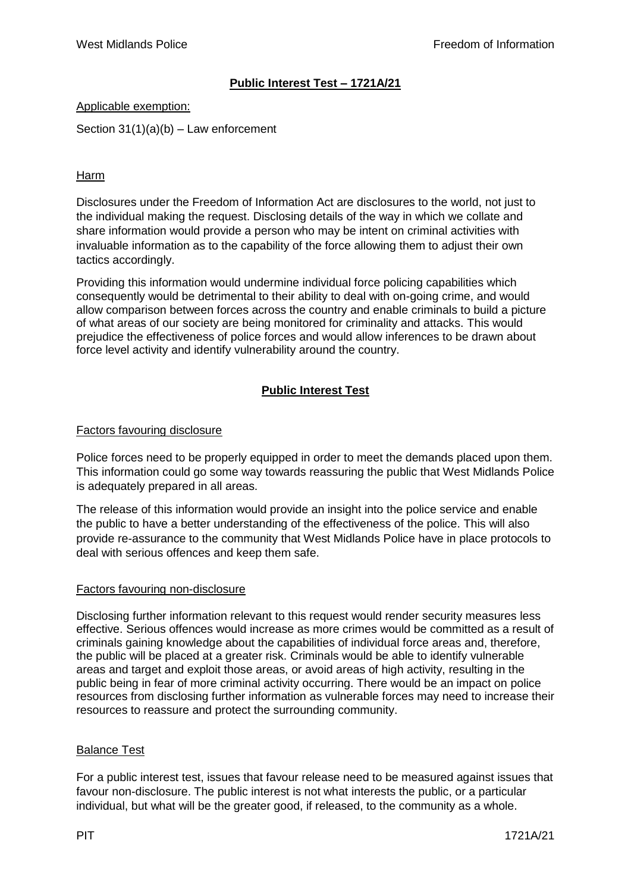# **Public Interest Test – 1721A/21**

### Applicable exemption:

Section  $31(1)(a)(b) - Law$  enforcement

### Harm

Disclosures under the Freedom of Information Act are disclosures to the world, not just to the individual making the request. Disclosing details of the way in which we collate and share information would provide a person who may be intent on criminal activities with invaluable information as to the capability of the force allowing them to adjust their own tactics accordingly.

Providing this information would undermine individual force policing capabilities which consequently would be detrimental to their ability to deal with on-going crime, and would allow comparison between forces across the country and enable criminals to build a picture of what areas of our society are being monitored for criminality and attacks. This would prejudice the effectiveness of police forces and would allow inferences to be drawn about force level activity and identify vulnerability around the country.

## **Public Interest Test**

### Factors favouring disclosure

Police forces need to be properly equipped in order to meet the demands placed upon them. This information could go some way towards reassuring the public that West Midlands Police is adequately prepared in all areas.

The release of this information would provide an insight into the police service and enable the public to have a better understanding of the effectiveness of the police. This will also provide re-assurance to the community that West Midlands Police have in place protocols to deal with serious offences and keep them safe.

### Factors favouring non-disclosure

Disclosing further information relevant to this request would render security measures less effective. Serious offences would increase as more crimes would be committed as a result of criminals gaining knowledge about the capabilities of individual force areas and, therefore, the public will be placed at a greater risk. Criminals would be able to identify vulnerable areas and target and exploit those areas, or avoid areas of high activity, resulting in the public being in fear of more criminal activity occurring. There would be an impact on police resources from disclosing further information as vulnerable forces may need to increase their resources to reassure and protect the surrounding community.

### Balance Test

For a public interest test, issues that favour release need to be measured against issues that favour non-disclosure. The public interest is not what interests the public, or a particular individual, but what will be the greater good, if released, to the community as a whole.